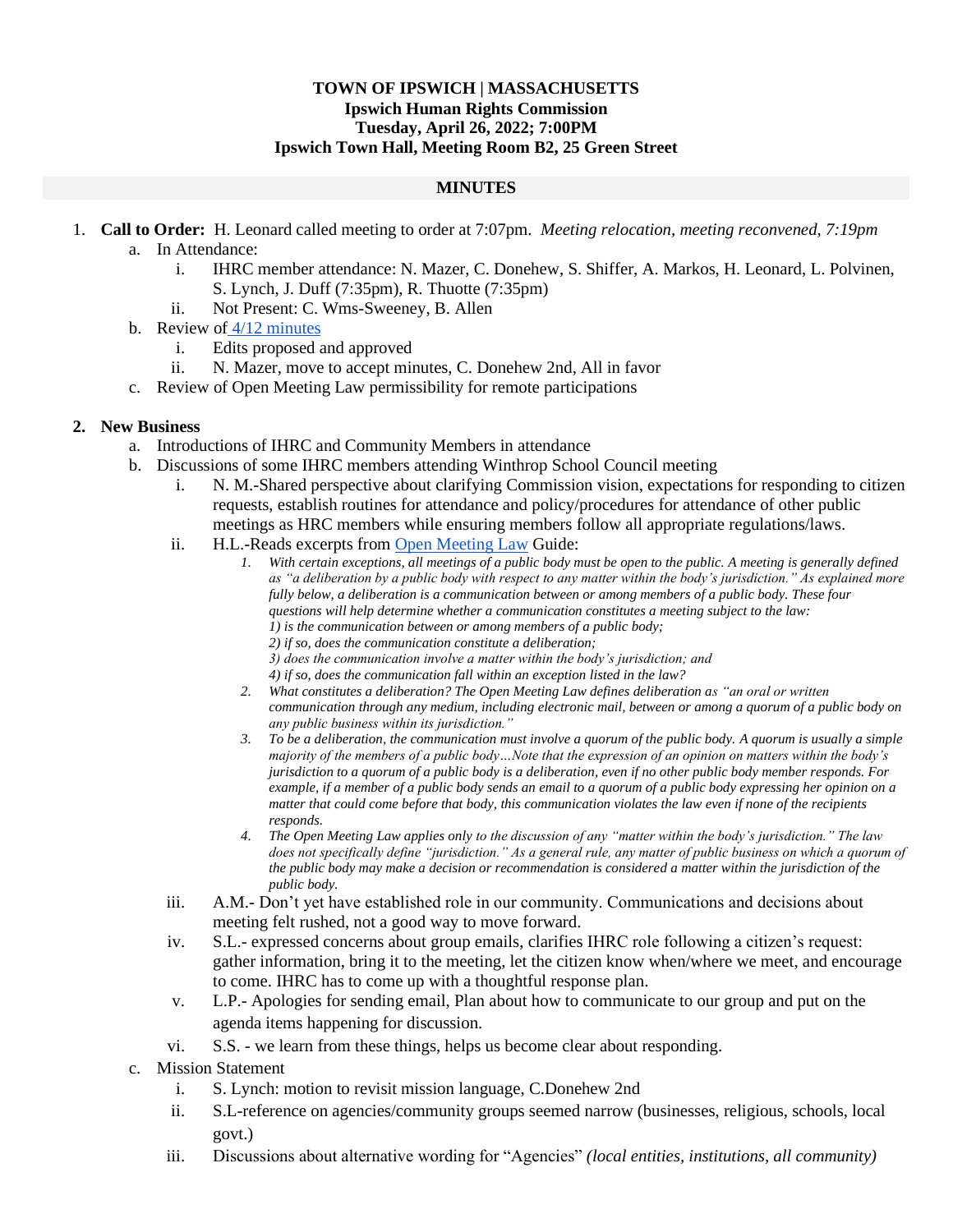## **TOWN OF IPSWICH | MASSACHUSETTS Ipswich Human Rights Commission Tuesday, April 26, 2022; 7:00PM Ipswich Town Hall, Meeting Room B2, 25 Green Street**

## **MINUTES**

- 1. **Call to Order:** H. Leonard called meeting to order at 7:07pm. *Meeting relocation, meeting reconvened, 7:19pm* a. In Attendance:
	- i. IHRC member attendance: N. Mazer, C. Donehew, S. Shiffer, A. Markos, H. Leonard, L. Polvinen, S. Lynch, J. Duff (7:35pm), R. Thuotte (7:35pm)
	- ii. Not Present: C. Wms-Sweeney, B. Allen
	- b. Review of [4/12 minutes](https://drive.google.com/file/d/1tYbjEv9CJdfDMveMklW67A5c_xFkUBCP/view?usp=sharing)
		- i. Edits proposed and approved
		- ii. N. Mazer, move to accept minutes, C. Donehew 2nd, All in favor
	- c. Review of Open Meeting Law permissibility for remote participations

## **2. New Business**

- a. Introductions of IHRC and Community Members in attendance
- b. Discussions of some IHRC members attending Winthrop School Council meeting
	- i. N. M.-Shared perspective about clarifying Commission vision, expectations for responding to citizen requests, establish routines for attendance and policy/procedures for attendance of other public meetings as HRC members while ensuring members follow all appropriate regulations/laws.
	- ii. H.L.-Reads excerpts from [Open Meeting Law](https://www.mass.gov/doc/open-meeting-law-guide-and-educational-materials-0/download#:~:text=Under%20the%20Open%20Meeting%20Law,without%20permission%20of%20the%20chair.) Guide:
		- *1. With certain exceptions, all meetings of a public body must be open to the public. A meeting is generally defined as "a deliberation by a public body with respect to any matter within the body's jurisdiction." As explained more fully below, a deliberation is a communication between or among members of a public body. These four questions will help determine whether a communication constitutes a meeting subject to the law: 1) is the communication between or among members of a public body;*
			- *2) if so, does the communication constitute a deliberation;*
			- *3) does the communication involve a matter within the body's jurisdiction; and*
			- *4) if so, does the communication fall within an exception listed in the law?*
		- *2. What constitutes a deliberation? The Open Meeting Law defines deliberation as "an oral or written communication through any medium, including electronic mail, between or among a quorum of a public body on any public business within its jurisdiction."*
		- *3. To be a deliberation, the communication must involve a quorum of the public body. A quorum is usually a simple majority of the members of a public body…Note that the expression of an opinion on matters within the body's jurisdiction to a quorum of a public body is a deliberation, even if no other public body member responds. For example, if a member of a public body sends an email to a quorum of a public body expressing her opinion on a matter that could come before that body, this communication violates the law even if none of the recipients responds.*
		- *4. The Open Meeting Law applies only to the discussion of any "matter within the body's jurisdiction." The law*  does not specifically define "jurisdiction." As a general rule, any matter of public business on which a quorum of *the public body may make a decision or recommendation is considered a matter within the jurisdiction of the public body.*
	- iii. A.M.- Don't yet have established role in our community. Communications and decisions about meeting felt rushed, not a good way to move forward.
	- iv. S.L.- expressed concerns about group emails, clarifies IHRC role following a citizen's request: gather information, bring it to the meeting, let the citizen know when/where we meet, and encourage to come. IHRC has to come up with a thoughtful response plan.
	- v. L.P.- Apologies for sending email, Plan about how to communicate to our group and put on the agenda items happening for discussion.
	- vi. S.S. we learn from these things, helps us become clear about responding.
- c. Mission Statement
	- i. S. Lynch: motion to revisit mission language, C.Donehew 2nd
	- ii. S.L-reference on agencies/community groups seemed narrow (businesses, religious, schools, local govt.)
	- iii. Discussions about alternative wording for "Agencies" *(local entities, institutions, all community)*